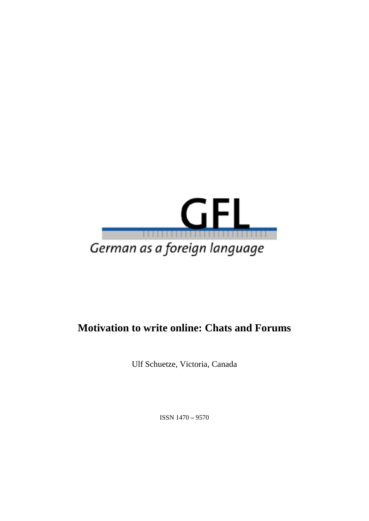

# **Motivation to write online: Chats and Forums**

Ulf Schuetze, Victoria, Canada

ISSN 1470 **–** 9570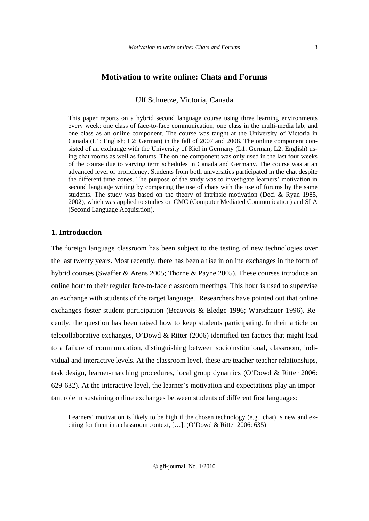## **Motivation to write online: Chats and Forums**

Ulf Schuetze, Victoria, Canada

This paper reports on a hybrid second language course using three learning environments every week: one class of face-to-face communication; one class in the multi-media lab; and one class as an online component. The course was taught at the University of Victoria in Canada (L1: English; L2: German) in the fall of 2007 and 2008. The online component consisted of an exchange with the University of Kiel in Germany (L1: German; L2: English) using chat rooms as well as forums. The online component was only used in the last four weeks of the course due to varying term schedules in Canada and Germany. The course was at an advanced level of proficiency. Students from both universities participated in the chat despite the different time zones. The purpose of the study was to investigate learners' motivation in second language writing by comparing the use of chats with the use of forums by the same students. The study was based on the theory of intrinsic motivation (Deci & Ryan 1985, 2002), which was applied to studies on CMC (Computer Mediated Communication) and SLA (Second Language Acquisition).

## **1. Introduction**

The foreign language classroom has been subject to the testing of new technologies over the last twenty years. Most recently, there has been a rise in online exchanges in the form of hybrid courses (Swaffer & Arens 2005; Thorne & Payne 2005). These courses introduce an online hour to their regular face-to-face classroom meetings. This hour is used to supervise an exchange with students of the target language. Researchers have pointed out that online exchanges foster student participation (Beauvois & Eledge 1996; Warschauer 1996). Recently, the question has been raised how to keep students participating. In their article on telecollaborative exchanges, O'Dowd & Ritter (2006) identified ten factors that might lead to a failure of communication, distinguishing between socioinstitutional, classroom, individual and interactive levels. At the classroom level, these are teacher-teacher relationships, task design, learner-matching procedures, local group dynamics (O'Dowd & Ritter 2006: 629-632). At the interactive level, the learner's motivation and expectations play an important role in sustaining online exchanges between students of different first languages:

Learners' motivation is likely to be high if the chosen technology (e.g., chat) is new and exciting for them in a classroom context, […]. (O'Dowd & Ritter 2006: 635)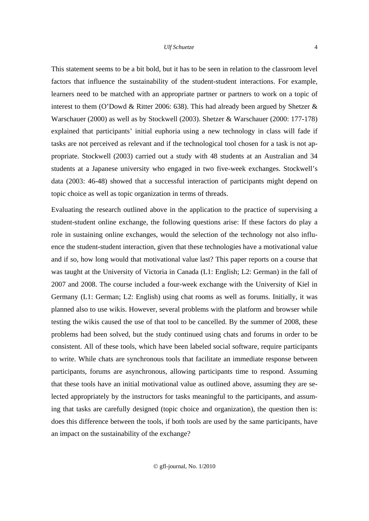This statement seems to be a bit bold, but it has to be seen in relation to the classroom level factors that influence the sustainability of the student-student interactions. For example, learners need to be matched with an appropriate partner or partners to work on a topic of interest to them (O'Dowd & Ritter 2006: 638). This had already been argued by Shetzer  $\&$ Warschauer (2000) as well as by Stockwell (2003). Shetzer & Warschauer (2000: 177-178) explained that participants' initial euphoria using a new technology in class will fade if tasks are not perceived as relevant and if the technological tool chosen for a task is not appropriate. Stockwell (2003) carried out a study with 48 students at an Australian and 34 students at a Japanese university who engaged in two five-week exchanges. Stockwell's data (2003: 46-48) showed that a successful interaction of participants might depend on topic choice as well as topic organization in terms of threads.

Evaluating the research outlined above in the application to the practice of supervising a student-student online exchange, the following questions arise: If these factors do play a role in sustaining online exchanges, would the selection of the technology not also influence the student-student interaction, given that these technologies have a motivational value and if so, how long would that motivational value last? This paper reports on a course that was taught at the University of Victoria in Canada (L1: English; L2: German) in the fall of 2007 and 2008. The course included a four-week exchange with the University of Kiel in Germany (L1: German; L2: English) using chat rooms as well as forums. Initially, it was planned also to use wikis. However, several problems with the platform and browser while testing the wikis caused the use of that tool to be cancelled. By the summer of 2008, these problems had been solved, but the study continued using chats and forums in order to be consistent. All of these tools, which have been labeled social software, require participants to write. While chats are synchronous tools that facilitate an immediate response between participants, forums are asynchronous, allowing participants time to respond. Assuming that these tools have an initial motivational value as outlined above, assuming they are selected appropriately by the instructors for tasks meaningful to the participants, and assuming that tasks are carefully designed (topic choice and organization), the question then is: does this difference between the tools, if both tools are used by the same participants, have an impact on the sustainability of the exchange?

4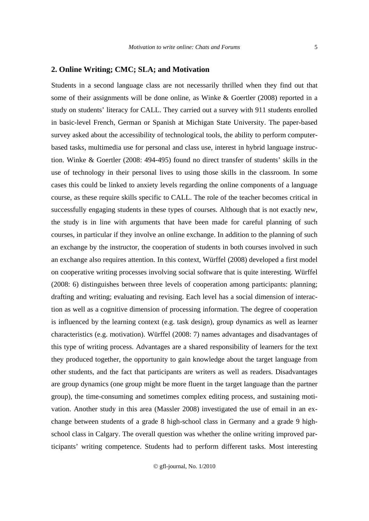#### **2. Online Writing; CMC; SLA; and Motivation**

Students in a second language class are not necessarily thrilled when they find out that some of their assignments will be done online, as Winke & Goertler (2008) reported in a study on students' literacy for CALL. They carried out a survey with 911 students enrolled in basic-level French, German or Spanish at Michigan State University. The paper-based survey asked about the accessibility of technological tools, the ability to perform computerbased tasks, multimedia use for personal and class use, interest in hybrid language instruction. Winke & Goertler (2008: 494-495) found no direct transfer of students' skills in the use of technology in their personal lives to using those skills in the classroom. In some cases this could be linked to anxiety levels regarding the online components of a language course, as these require skills specific to CALL. The role of the teacher becomes critical in successfully engaging students in these types of courses. Although that is not exactly new, the study is in line with arguments that have been made for careful planning of such courses, in particular if they involve an online exchange. In addition to the planning of such an exchange by the instructor, the cooperation of students in both courses involved in such an exchange also requires attention. In this context, Würffel (2008) developed a first model on cooperative writing processes involving social software that is quite interesting. Würffel (2008: 6) distinguishes between three levels of cooperation among participants: planning; drafting and writing; evaluating and revising. Each level has a social dimension of interaction as well as a cognitive dimension of processing information. The degree of cooperation is influenced by the learning context (e.g. task design), group dynamics as well as learner characteristics (e.g. motivation). Würffel (2008: 7) names advantages and disadvantages of this type of writing process. Advantages are a shared responsibility of learners for the text they produced together, the opportunity to gain knowledge about the target language from other students, and the fact that participants are writers as well as readers. Disadvantages are group dynamics (one group might be more fluent in the target language than the partner group), the time-consuming and sometimes complex editing process, and sustaining motivation. Another study in this area (Massler 2008) investigated the use of email in an exchange between students of a grade 8 high-school class in Germany and a grade 9 highschool class in Calgary. The overall question was whether the online writing improved participants' writing competence. Students had to perform different tasks. Most interesting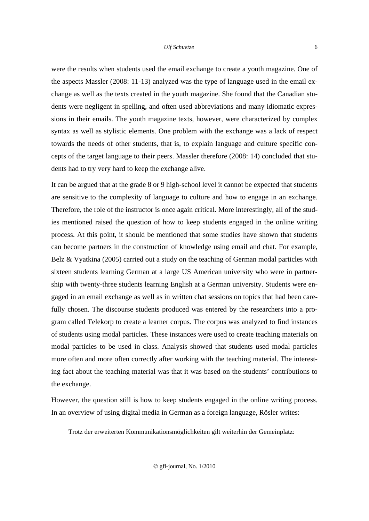were the results when students used the email exchange to create a youth magazine. One of the aspects Massler (2008: 11-13) analyzed was the type of language used in the email exchange as well as the texts created in the youth magazine. She found that the Canadian students were negligent in spelling, and often used abbreviations and many idiomatic expressions in their emails. The youth magazine texts, however, were characterized by complex syntax as well as stylistic elements. One problem with the exchange was a lack of respect towards the needs of other students, that is, to explain language and culture specific concepts of the target language to their peers. Massler therefore (2008: 14) concluded that students had to try very hard to keep the exchange alive.

It can be argued that at the grade 8 or 9 high-school level it cannot be expected that students are sensitive to the complexity of language to culture and how to engage in an exchange. Therefore, the role of the instructor is once again critical. More interestingly, all of the studies mentioned raised the question of how to keep students engaged in the online writing process. At this point, it should be mentioned that some studies have shown that students can become partners in the construction of knowledge using email and chat. For example, Belz & Vyatkina (2005) carried out a study on the teaching of German modal particles with sixteen students learning German at a large US American university who were in partnership with twenty-three students learning English at a German university. Students were engaged in an email exchange as well as in written chat sessions on topics that had been carefully chosen. The discourse students produced was entered by the researchers into a program called Telekorp to create a learner corpus. The corpus was analyzed to find instances of students using modal particles. These instances were used to create teaching materials on modal particles to be used in class. Analysis showed that students used modal particles more often and more often correctly after working with the teaching material. The interesting fact about the teaching material was that it was based on the students' contributions to the exchange.

However, the question still is how to keep students engaged in the online writing process. In an overview of using digital media in German as a foreign language, Rösler writes:

Trotz der erweiterten Kommunikationsmöglichkeiten gilt weiterhin der Gemeinplatz:

6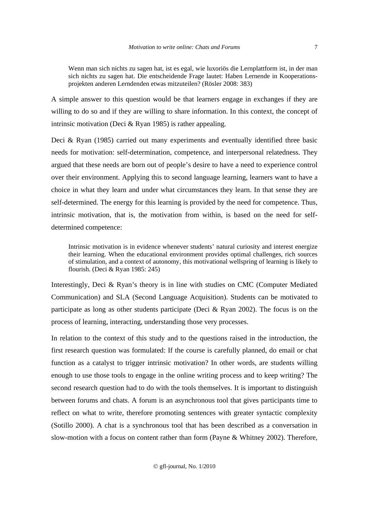Wenn man sich nichts zu sagen hat, ist es egal, wie luxoriös die Lernplattform ist, in der man sich nichts zu sagen hat. Die entscheidende Frage lautet: Haben Lernende in Kooperationsprojekten anderen Lerndenden etwas mitzuteilen? (Rösler 2008: 383)

A simple answer to this question would be that learners engage in exchanges if they are willing to do so and if they are willing to share information. In this context, the concept of intrinsic motivation (Deci & Ryan 1985) is rather appealing.

Deci & Ryan (1985) carried out many experiments and eventually identified three basic needs for motivation: self-determination, competence, and interpersonal relatedness. They argued that these needs are born out of people's desire to have a need to experience control over their environment. Applying this to second language learning, learners want to have a choice in what they learn and under what circumstances they learn. In that sense they are self-determined. The energy for this learning is provided by the need for competence. Thus, intrinsic motivation, that is, the motivation from within, is based on the need for selfdetermined competence:

Intrinsic motivation is in evidence whenever students' natural curiosity and interest energize their learning. When the educational environment provides optimal challenges, rich sources of stimulation, and a context of autonomy, this motivational wellspring of learning is likely to flourish. (Deci & Ryan 1985: 245)

Interestingly, Deci & Ryan's theory is in line with studies on CMC (Computer Mediated Communication) and SLA (Second Language Acquisition). Students can be motivated to participate as long as other students participate (Deci & Ryan 2002). The focus is on the process of learning, interacting, understanding those very processes.

In relation to the context of this study and to the questions raised in the introduction, the first research question was formulated: If the course is carefully planned, do email or chat function as a catalyst to trigger intrinsic motivation? In other words, are students willing enough to use those tools to engage in the online writing process and to keep writing? The second research question had to do with the tools themselves. It is important to distinguish between forums and chats. A forum is an asynchronous tool that gives participants time to reflect on what to write, therefore promoting sentences with greater syntactic complexity (Sotillo 2000). A chat is a synchronous tool that has been described as a conversation in slow-motion with a focus on content rather than form (Payne & Whitney 2002). Therefore,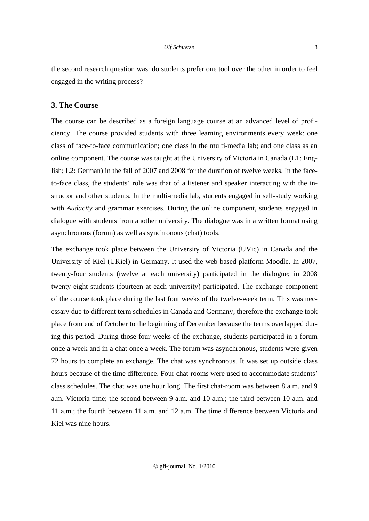the second research question was: do students prefer one tool over the other in order to feel engaged in the writing process?

# **3. The Course**

The course can be described as a foreign language course at an advanced level of proficiency. The course provided students with three learning environments every week: one class of face-to-face communication; one class in the multi-media lab; and one class as an online component. The course was taught at the University of Victoria in Canada (L1: English; L2: German) in the fall of 2007 and 2008 for the duration of twelve weeks. In the faceto-face class, the students' role was that of a listener and speaker interacting with the instructor and other students. In the multi-media lab, students engaged in self-study working with *Audacity* and grammar exercises. During the online component, students engaged in dialogue with students from another university. The dialogue was in a written format using asynchronous (forum) as well as synchronous (chat) tools.

The exchange took place between the University of Victoria (UVic) in Canada and the University of Kiel (UKiel) in Germany. It used the web-based platform Moodle. In 2007, twenty-four students (twelve at each university) participated in the dialogue; in 2008 twenty-eight students (fourteen at each university) participated. The exchange component of the course took place during the last four weeks of the twelve-week term. This was necessary due to different term schedules in Canada and Germany, therefore the exchange took place from end of October to the beginning of December because the terms overlapped during this period. During those four weeks of the exchange, students participated in a forum once a week and in a chat once a week. The forum was asynchronous, students were given 72 hours to complete an exchange. The chat was synchronous. It was set up outside class hours because of the time difference. Four chat-rooms were used to accommodate students' class schedules. The chat was one hour long. The first chat-room was between 8 a.m. and 9 a.m. Victoria time; the second between 9 a.m. and 10 a.m.; the third between 10 a.m. and 11 a.m.; the fourth between 11 a.m. and 12 a.m. The time difference between Victoria and Kiel was nine hours.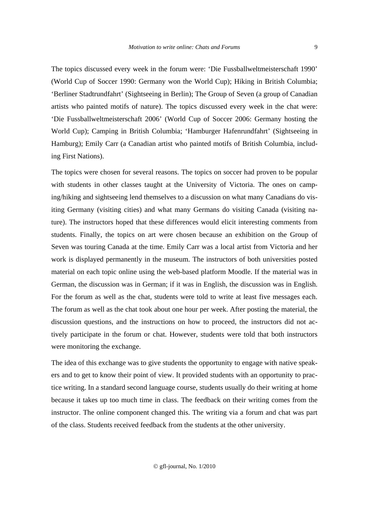The topics discussed every week in the forum were: 'Die Fussballweltmeisterschaft 1990' (World Cup of Soccer 1990: Germany won the World Cup); Hiking in British Columbia; 'Berliner Stadtrundfahrt' (Sightseeing in Berlin); The Group of Seven (a group of Canadian artists who painted motifs of nature). The topics discussed every week in the chat were: 'Die Fussballweltmeisterschaft 2006' (World Cup of Soccer 2006: Germany hosting the World Cup); Camping in British Columbia; 'Hamburger Hafenrundfahrt' (Sightseeing in Hamburg); Emily Carr (a Canadian artist who painted motifs of British Columbia, including First Nations).

The topics were chosen for several reasons. The topics on soccer had proven to be popular with students in other classes taught at the University of Victoria. The ones on camping/hiking and sightseeing lend themselves to a discussion on what many Canadians do visiting Germany (visiting cities) and what many Germans do visiting Canada (visiting nature). The instructors hoped that these differences would elicit interesting comments from students. Finally, the topics on art were chosen because an exhibition on the Group of Seven was touring Canada at the time. Emily Carr was a local artist from Victoria and her work is displayed permanently in the museum. The instructors of both universities posted material on each topic online using the web-based platform Moodle. If the material was in German, the discussion was in German; if it was in English, the discussion was in English. For the forum as well as the chat, students were told to write at least five messages each. The forum as well as the chat took about one hour per week. After posting the material, the discussion questions, and the instructions on how to proceed, the instructors did not actively participate in the forum or chat. However, students were told that both instructors were monitoring the exchange.

The idea of this exchange was to give students the opportunity to engage with native speakers and to get to know their point of view. It provided students with an opportunity to practice writing. In a standard second language course, students usually do their writing at home because it takes up too much time in class. The feedback on their writing comes from the instructor. The online component changed this. The writing via a forum and chat was part of the class. Students received feedback from the students at the other university.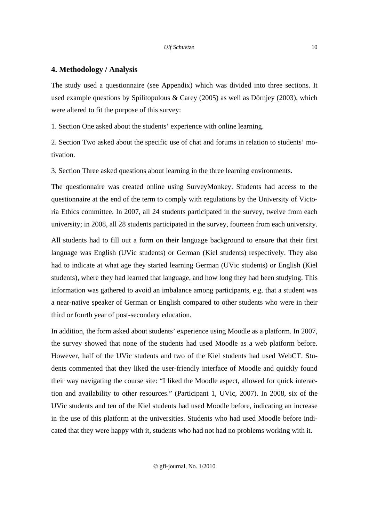## **4. Methodology / Analysis**

The study used a questionnaire (see Appendix) which was divided into three sections. It used example questions by Spilitopulous & Carey (2005) as well as Dörnjey (2003), which were altered to fit the purpose of this survey:

1. Section One asked about the students' experience with online learning.

2. Section Two asked about the specific use of chat and forums in relation to students' motivation.

3. Section Three asked questions about learning in the three learning environments.

The questionnaire was created online using SurveyMonkey. Students had access to the questionnaire at the end of the term to comply with regulations by the University of Victoria Ethics committee. In 2007, all 24 students participated in the survey, twelve from each university; in 2008, all 28 students participated in the survey, fourteen from each university.

All students had to fill out a form on their language background to ensure that their first language was English (UVic students) or German (Kiel students) respectively. They also had to indicate at what age they started learning German (UVic students) or English (Kiel students), where they had learned that language, and how long they had been studying. This information was gathered to avoid an imbalance among participants, e.g. that a student was a near-native speaker of German or English compared to other students who were in their third or fourth year of post-secondary education.

In addition, the form asked about students' experience using Moodle as a platform. In 2007, the survey showed that none of the students had used Moodle as a web platform before. However, half of the UVic students and two of the Kiel students had used WebCT. Students commented that they liked the user-friendly interface of Moodle and quickly found their way navigating the course site: "I liked the Moodle aspect, allowed for quick interaction and availability to other resources." (Participant 1, UVic, 2007). In 2008, six of the UVic students and ten of the Kiel students had used Moodle before, indicating an increase in the use of this platform at the universities. Students who had used Moodle before indicated that they were happy with it, students who had not had no problems working with it.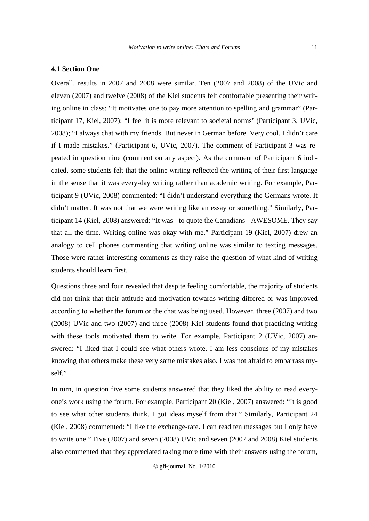## **4.1 Section One**

Overall, results in 2007 and 2008 were similar. Ten (2007 and 2008) of the UVic and eleven (2007) and twelve (2008) of the Kiel students felt comfortable presenting their writing online in class: "It motivates one to pay more attention to spelling and grammar" (Participant 17, Kiel, 2007); "I feel it is more relevant to societal norms' (Participant 3, UVic, 2008); "I always chat with my friends. But never in German before. Very cool. I didn't care if I made mistakes." (Participant 6, UVic, 2007). The comment of Participant 3 was repeated in question nine (comment on any aspect). As the comment of Participant 6 indicated, some students felt that the online writing reflected the writing of their first language in the sense that it was every-day writing rather than academic writing. For example, Participant 9 (UVic, 2008) commented: "I didn't understand everything the Germans wrote. It didn't matter. It was not that we were writing like an essay or something." Similarly, Participant 14 (Kiel, 2008) answered: "It was - to quote the Canadians - AWESOME. They say that all the time. Writing online was okay with me." Participant 19 (Kiel, 2007) drew an analogy to cell phones commenting that writing online was similar to texting messages. Those were rather interesting comments as they raise the question of what kind of writing students should learn first.

Questions three and four revealed that despite feeling comfortable, the majority of students did not think that their attitude and motivation towards writing differed or was improved according to whether the forum or the chat was being used. However, three (2007) and two (2008) UVic and two (2007) and three (2008) Kiel students found that practicing writing with these tools motivated them to write. For example, Participant 2 (UVic, 2007) answered: "I liked that I could see what others wrote. I am less conscious of my mistakes knowing that others make these very same mistakes also. I was not afraid to embarrass myself."

In turn, in question five some students answered that they liked the ability to read everyone's work using the forum. For example, Participant 20 (Kiel, 2007) answered: "It is good to see what other students think. I got ideas myself from that." Similarly, Participant 24 (Kiel, 2008) commented: "I like the exchange-rate. I can read ten messages but I only have to write one." Five (2007) and seven (2008) UVic and seven (2007 and 2008) Kiel students also commented that they appreciated taking more time with their answers using the forum,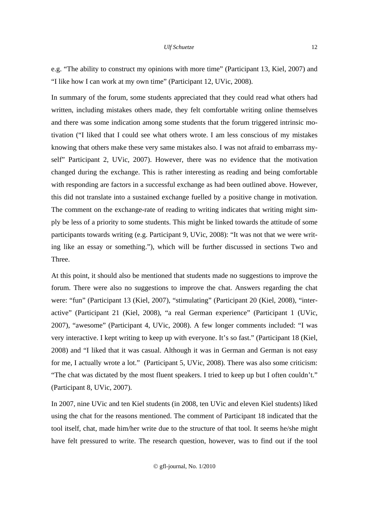e.g. "The ability to construct my opinions with more time" (Participant 13, Kiel, 2007) and "I like how I can work at my own time" (Participant 12, UVic, 2008).

In summary of the forum, some students appreciated that they could read what others had written, including mistakes others made, they felt comfortable writing online themselves and there was some indication among some students that the forum triggered intrinsic motivation ("I liked that I could see what others wrote. I am less conscious of my mistakes knowing that others make these very same mistakes also. I was not afraid to embarrass myself" Participant 2, UVic, 2007). However, there was no evidence that the motivation changed during the exchange. This is rather interesting as reading and being comfortable with responding are factors in a successful exchange as had been outlined above. However, this did not translate into a sustained exchange fuelled by a positive change in motivation. The comment on the exchange-rate of reading to writing indicates that writing might simply be less of a priority to some students. This might be linked towards the attitude of some participants towards writing (e.g. Participant 9, UVic, 2008): "It was not that we were writing like an essay or something."), which will be further discussed in sections Two and Three.

At this point, it should also be mentioned that students made no suggestions to improve the forum. There were also no suggestions to improve the chat. Answers regarding the chat were: "fun" (Participant 13 (Kiel, 2007), "stimulating" (Participant 20 (Kiel, 2008), "interactive" (Participant 21 (Kiel, 2008), "a real German experience" (Participant 1 (UVic, 2007), "awesome" (Participant 4, UVic, 2008). A few longer comments included: "I was very interactive. I kept writing to keep up with everyone. It's so fast." (Participant 18 (Kiel, 2008) and "I liked that it was casual. Although it was in German and German is not easy for me, I actually wrote a lot." (Participant 5, UVic, 2008). There was also some criticism: "The chat was dictated by the most fluent speakers. I tried to keep up but I often couldn't." (Participant 8, UVic, 2007).

In 2007, nine UVic and ten Kiel students (in 2008, ten UVic and eleven Kiel students) liked using the chat for the reasons mentioned. The comment of Participant 18 indicated that the tool itself, chat, made him/her write due to the structure of that tool. It seems he/she might have felt pressured to write. The research question, however, was to find out if the tool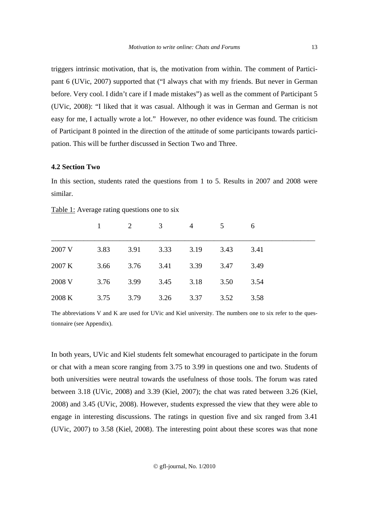triggers intrinsic motivation, that is, the motivation from within. The comment of Participant 6 (UVic, 2007) supported that ("I always chat with my friends. But never in German before. Very cool. I didn't care if I made mistakes") as well as the comment of Participant 5 (UVic, 2008): "I liked that it was casual. Although it was in German and German is not easy for me, I actually wrote a lot." However, no other evidence was found. The criticism of Participant 8 pointed in the direction of the attitude of some participants towards participation. This will be further discussed in Section Two and Three.

## **4.2 Section Two**

In this section, students rated the questions from 1 to 5. Results in 2007 and 2008 were similar.

|        | $\mathbf{1}$ | $\overline{2}$ | 3    | $\overline{4}$ | 5    | 6    |  |
|--------|--------------|----------------|------|----------------|------|------|--|
| 2007 V | 3.83         | 3.91           | 3.33 | 3.19           | 3.43 | 3.41 |  |
| 2007 K | 3.66         | 3.76           | 3.41 | 3.39           | 3.47 | 3.49 |  |
| 2008 V | 3.76         | 3.99           | 3.45 | 3.18           | 3.50 | 3.54 |  |
| 2008 K | 3.75         | 3.79           | 3.26 | 3.37           | 3.52 | 3.58 |  |

Table 1: Average rating questions one to six

The abbreviations V and K are used for UVic and Kiel university. The numbers one to six refer to the questionnaire (see Appendix).

In both years, UVic and Kiel students felt somewhat encouraged to participate in the forum or chat with a mean score ranging from 3.75 to 3.99 in questions one and two. Students of both universities were neutral towards the usefulness of those tools. The forum was rated between 3.18 (UVic, 2008) and 3.39 (Kiel, 2007); the chat was rated between 3.26 (Kiel, 2008) and 3.45 (UVic, 2008). However, students expressed the view that they were able to engage in interesting discussions. The ratings in question five and six ranged from 3.41 (UVic, 2007) to 3.58 (Kiel, 2008). The interesting point about these scores was that none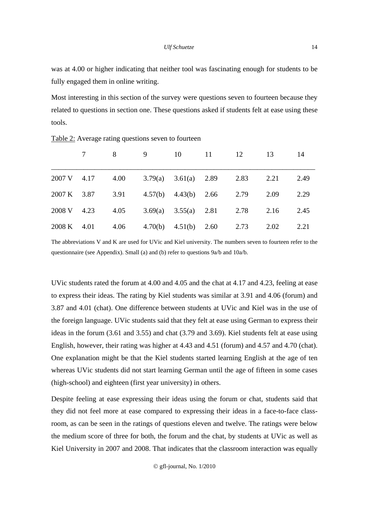was at 4.00 or higher indicating that neither tool was fascinating enough for students to be fully engaged them in online writing.

Most interesting in this section of the survey were questions seven to fourteen because they related to questions in section one. These questions asked if students felt at ease using these tools.

|             | 8    |                                        |                             | 9 10 11 12 13 |      | 14   |
|-------------|------|----------------------------------------|-----------------------------|---------------|------|------|
| 2007 V 4.17 | 4.00 |                                        | 3.79(a) $3.61(a)$ 2.89 2.83 |               | 2.21 | 2.49 |
| 2007 K 3.87 |      | 3.91 $4.57(b)$ $4.43(b)$ $2.66$ $2.79$ |                             |               | 2.09 | 2.29 |
| 2008 V 4.23 | 4.05 |                                        | 3.69(a) $3.55(a)$ 2.81 2.78 |               | 2.16 | 2.45 |
| 2008 K 4.01 | 4.06 |                                        | 4.70(b) 4.51(b) 2.60 2.73   |               | 2.02 | 2.21 |

Table 2: Average rating questions seven to fourteen

The abbreviations V and K are used for UVic and Kiel university. The numbers seven to fourteen refer to the questionnaire (see Appendix). Small (a) and (b) refer to questions 9a/b and 10a/b.

UVic students rated the forum at 4.00 and 4.05 and the chat at 4.17 and 4.23, feeling at ease to express their ideas. The rating by Kiel students was similar at 3.91 and 4.06 (forum) and 3.87 and 4.01 (chat). One difference between students at UVic and Kiel was in the use of the foreign language. UVic students said that they felt at ease using German to express their ideas in the forum (3.61 and 3.55) and chat (3.79 and 3.69). Kiel students felt at ease using English, however, their rating was higher at 4.43 and 4.51 (forum) and 4.57 and 4.70 (chat). One explanation might be that the Kiel students started learning English at the age of ten whereas UVic students did not start learning German until the age of fifteen in some cases (high-school) and eighteen (first year university) in others.

Despite feeling at ease expressing their ideas using the forum or chat, students said that they did not feel more at ease compared to expressing their ideas in a face-to-face classroom, as can be seen in the ratings of questions eleven and twelve. The ratings were below the medium score of three for both, the forum and the chat, by students at UVic as well as Kiel University in 2007 and 2008. That indicates that the classroom interaction was equally

14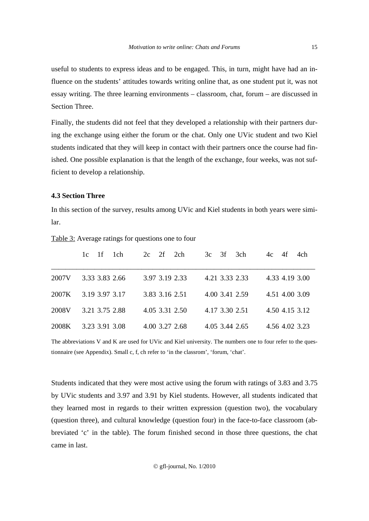useful to students to express ideas and to be engaged. This, in turn, might have had an influence on the students' attitudes towards writing online that, as one student put it, was not essay writing. The three learning environments – classroom, chat, forum – are discussed in Section Three.

Finally, the students did not feel that they developed a relationship with their partners during the exchange using either the forum or the chat. Only one UVic student and two Kiel students indicated that they will keep in contact with their partners once the course had finished. One possible explanation is that the length of the exchange, four weeks, was not sufficient to develop a relationship.

# **4.3 Section Three**

In this section of the survey, results among UVic and Kiel students in both years were similar.

|       | $1c$ $1f$ $1ch$ | $2c \quad 2f$<br>2ch | 3ch<br>$3c \quad 3f$ | 4ch<br>$4c \quad 4f$ |
|-------|-----------------|----------------------|----------------------|----------------------|
| 2007V | 3.33 3.83 2.66  | 3.97 3.19 2.33       | 4.21 3.33 2.33       | 4.33 4.19 3.00       |
| 2007K | 3.19 3.97 3.17  | 3.83 3.16 2.51       | 4.00 3.41 2.59       | 4.51 4.00 3.09       |
| 2008V | 3.21 3.75 2.88  | 4.05 3.31 2.50       | 4.17 3.30 2.51       | 4.50 4.15 3.12       |
| 2008K | 3.23 3.91 3.08  | 4.00 3.27 2.68       | 4.05 3.44 2.65       | 4.56 4.02 3.23       |

Table 3: Average ratings for questions one to four

The abbreviations V and K are used for UVic and Kiel university. The numbers one to four refer to the questionnaire (see Appendix). Small c, f, ch refer to 'in the classrom', 'forum, 'chat'.

Students indicated that they were most active using the forum with ratings of 3.83 and 3.75 by UVic students and 3.97 and 3.91 by Kiel students. However, all students indicated that they learned most in regards to their written expression (question two), the vocabulary (question three), and cultural knowledge (question four) in the face-to-face classroom (abbreviated 'c' in the table). The forum finished second in those three questions, the chat came in last.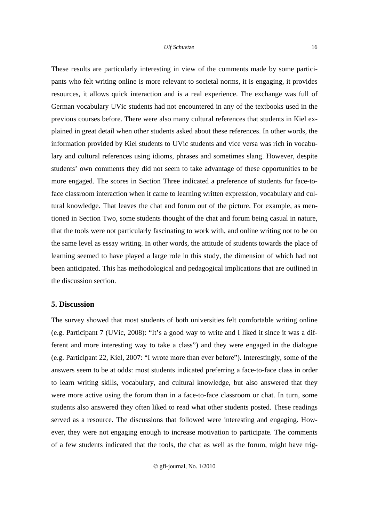These results are particularly interesting in view of the comments made by some participants who felt writing online is more relevant to societal norms, it is engaging, it provides resources, it allows quick interaction and is a real experience. The exchange was full of German vocabulary UVic students had not encountered in any of the textbooks used in the previous courses before. There were also many cultural references that students in Kiel explained in great detail when other students asked about these references. In other words, the information provided by Kiel students to UVic students and vice versa was rich in vocabulary and cultural references using idioms, phrases and sometimes slang. However, despite students' own comments they did not seem to take advantage of these opportunities to be more engaged. The scores in Section Three indicated a preference of students for face-toface classroom interaction when it came to learning written expression, vocabulary and cultural knowledge. That leaves the chat and forum out of the picture. For example, as mentioned in Section Two, some students thought of the chat and forum being casual in nature, that the tools were not particularly fascinating to work with, and online writing not to be on the same level as essay writing. In other words, the attitude of students towards the place of learning seemed to have played a large role in this study, the dimension of which had not been anticipated. This has methodological and pedagogical implications that are outlined in the discussion section.

# **5. Discussion**

The survey showed that most students of both universities felt comfortable writing online (e.g. Participant 7 (UVic, 2008): "It's a good way to write and I liked it since it was a different and more interesting way to take a class") and they were engaged in the dialogue (e.g. Participant 22, Kiel, 2007: "I wrote more than ever before"). Interestingly, some of the answers seem to be at odds: most students indicated preferring a face-to-face class in order to learn writing skills, vocabulary, and cultural knowledge, but also answered that they were more active using the forum than in a face-to-face classroom or chat. In turn, some students also answered they often liked to read what other students posted. These readings served as a resource. The discussions that followed were interesting and engaging. However, they were not engaging enough to increase motivation to participate. The comments of a few students indicated that the tools, the chat as well as the forum, might have trig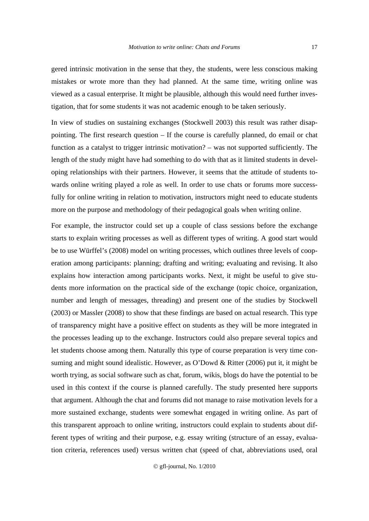gered intrinsic motivation in the sense that they, the students, were less conscious making mistakes or wrote more than they had planned. At the same time, writing online was viewed as a casual enterprise. It might be plausible, although this would need further investigation, that for some students it was not academic enough to be taken seriously.

In view of studies on sustaining exchanges (Stockwell 2003) this result was rather disappointing. The first research question – If the course is carefully planned, do email or chat function as a catalyst to trigger intrinsic motivation? – was not supported sufficiently. The length of the study might have had something to do with that as it limited students in developing relationships with their partners. However, it seems that the attitude of students towards online writing played a role as well. In order to use chats or forums more successfully for online writing in relation to motivation, instructors might need to educate students more on the purpose and methodology of their pedagogical goals when writing online.

For example, the instructor could set up a couple of class sessions before the exchange starts to explain writing processes as well as different types of writing. A good start would be to use Würffel's (2008) model on writing processes, which outlines three levels of cooperation among participants: planning; drafting and writing; evaluating and revising. It also explains how interaction among participants works. Next, it might be useful to give students more information on the practical side of the exchange (topic choice, organization, number and length of messages, threading) and present one of the studies by Stockwell (2003) or Massler (2008) to show that these findings are based on actual research. This type of transparency might have a positive effect on students as they will be more integrated in the processes leading up to the exchange. Instructors could also prepare several topics and let students choose among them. Naturally this type of course preparation is very time consuming and might sound idealistic. However, as O'Dowd & Ritter (2006) put it, it might be worth trying, as social software such as chat, forum, wikis, blogs do have the potential to be used in this context if the course is planned carefully. The study presented here supports that argument. Although the chat and forums did not manage to raise motivation levels for a more sustained exchange, students were somewhat engaged in writing online. As part of this transparent approach to online writing, instructors could explain to students about different types of writing and their purpose, e.g. essay writing (structure of an essay, evaluation criteria, references used) versus written chat (speed of chat, abbreviations used, oral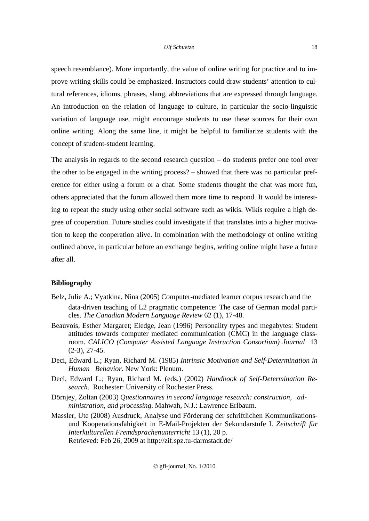speech resemblance). More importantly, the value of online writing for practice and to improve writing skills could be emphasized. Instructors could draw students' attention to cultural references, idioms, phrases, slang, abbreviations that are expressed through language. An introduction on the relation of language to culture, in particular the socio-linguistic variation of language use, might encourage students to use these sources for their own online writing. Along the same line, it might be helpful to familiarize students with the concept of student-student learning.

The analysis in regards to the second research question – do students prefer one tool over the other to be engaged in the writing process? – showed that there was no particular preference for either using a forum or a chat. Some students thought the chat was more fun, others appreciated that the forum allowed them more time to respond. It would be interesting to repeat the study using other social software such as wikis. Wikis require a high degree of cooperation. Future studies could investigate if that translates into a higher motivation to keep the cooperation alive. In combination with the methodology of online writing outlined above, in particular before an exchange begins, writing online might have a future after all.

## **Bibliography**

- Belz, Julie A.; Vyatkina, Nina (2005) Computer-mediated learner corpus research and the data-driven teaching of L2 pragmatic competence: The case of German modal particles. *The Canadian Modern Language Review* 62 (1), 17-48.
- Beauvois, Esther Margaret; Eledge, Jean (1996) Personality types and megabytes: Student attitudes towards computer mediated communication (CMC) in the language classroom. *CALICO (Computer Assisted Language Instruction Consortium) Journal* 13 (2-3), 27-45.
- Deci, Edward L.; Ryan, Richard M. (1985) *Intrinsic Motivation and Self-Determination in Human Behavior.* New York: Plenum.
- Deci, Edward L.; Ryan, Richard M. (eds.) (2002) *Handbook of Self-Determination Research*. Rochester: University of Rochester Press.
- Dörnjey, Zoltan (2003) *Questionnaires in second language research: construction, administration, and processing*. Mahwah, N.J.: Lawrence Erlbaum.
- Massler, Ute (2008) Ausdruck, Analyse und Förderung der schriftlichen Kommunikationsund Kooperationsfähigkeit in E-Mail-Projekten der Sekundarstufe I. *Zeitschrift für Interkulturellen Fremdsprachenunterricht* 13 (1), 20 p. Retrieved: Feb 26, 2009 at http://zif.spz.tu-darmstadt.de/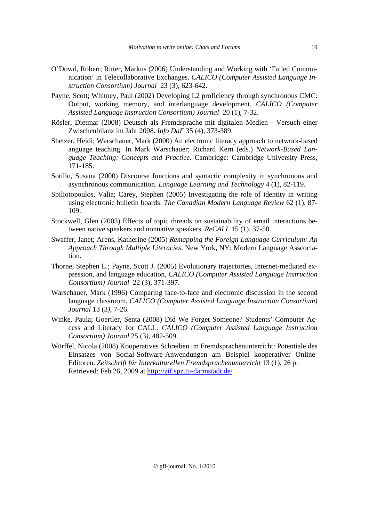- O'Dowd, Robert; Ritter, Markus (2006) Understanding and Working with 'Failed Communication' in Telecollaborative Exchanges. *CALICO (Computer Assisted Language Instruction Consortium) Journal* 23 (3), 623-642.
- Payne, Scott; Whitney, Paul (2002) Developing L2 proficiency through synchronous CMC: Output, working memory, and interlanguage development. *CALICO (Computer Assisted Language Instruction Consortium) Journal* 20 (1), 7-32.
- Rösler, Dietmar (2008) Deutsch als Fremdsprache mit digitalen Medien Versuch einer Zwischenbilanz im Jahr 2008. *Info DaF* 35 (4), 373-389.
- Shetzer, Heidi; Warschauer, Mark (2000) An electronic literacy approach to network-based anguage teaching. In Mark Warschauer; Richard Kern (eds.) *Network-Based Language Teaching: Concepts and Practice*. Cambridge: Cambridge University Press, 171-185.
- Sotillo, Susana (2000) Discourse functions and syntactic complexity in synchronous and asynchronous communication. *Language Learning and Technology* 4 (1), 82-119.
- Spiliotopoulos, Valia; Carey, Stephen (2005) Investigating the role of identity in writing using electronic bulletin boards. *The Canadian Modern Language Review* 62 (1), 87- 109.
- Stockwell, Glen (2003) Effects of topic threads on sustainability of email interactions between native speakers and nonnative speakers. *ReCALL* 15 (1), 37-50.
- Swaffer, Janet; Arens, Katherine (2005) *Remapping the Foreign Language Curriculum: An Approach Through Multiple Literacies*. New York, NY: Modern Language Asscociation.
- Thorne, Stephen L.; Payne, Scott J. (2005) Evolutionary trajectories, Internet-mediated expression, and language education, *CALICO (Computer Assisted Language Instruction Consortium) Journal* 22 (3), 371-397.
- Warschauer, Mark (1996) Comparing face-to-face and electronic discussion in the second language classroom. *CALICO (Computer Assisted Language Instruction Consortium) Journal* 13 (3*),* 7-26.
- Winke, Paula; Goertler, Senta (2008) Did We Forget Someone? Students' Computer Access and Literacy for CALL. *CALICO (Computer Assisted Language Instruction Consortium) Journal* 25 (3*),* 482-509.
- Würffel, Nicola (2008) Kooperatives Schreiben im Fremdsprachenunterricht: Potentiale des Einsatzes von Social-Software-Anwendungen am Beispiel kooperativer Online-Editoren. *Zeitschrift für Interkulturellen Fremdsprachenunterricht* 13 (1), 26 p. Retrieved: Feb 26, 2009 at http://zif.spz.tu-darmstadt.de/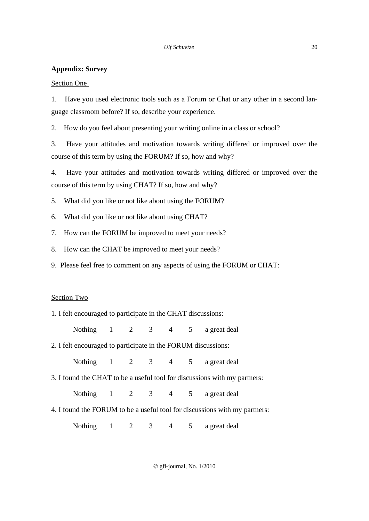# **Appendix: Survey**

# Section One

1. Have you used electronic tools such as a Forum or Chat or any other in a second language classroom before? If so, describe your experience.

2. How do you feel about presenting your writing online in a class or school?

3. Have your attitudes and motivation towards writing differed or improved over the course of this term by using the FORUM? If so, how and why?

4. Have your attitudes and motivation towards writing differed or improved over the course of this term by using CHAT? If so, how and why?

5. What did you like or not like about using the FORUM?

- 6. What did you like or not like about using CHAT?
- 7. How can the FORUM be improved to meet your needs?
- 8. How can the CHAT be improved to meet your needs?
- 9. Please feel free to comment on any aspects of using the FORUM or CHAT:

# Section Two

| 1. I felt encouraged to participate in the CHAT discussions:  |  |  |                                                                            |
|---------------------------------------------------------------|--|--|----------------------------------------------------------------------------|
|                                                               |  |  | Nothing 1 2 3 4 5 a great deal                                             |
| 2. I felt encouraged to participate in the FORUM discussions: |  |  |                                                                            |
|                                                               |  |  | Nothing 1 2 3 4 5 a great deal                                             |
|                                                               |  |  | 3. I found the CHAT to be a useful tool for discussions with my partners:  |
|                                                               |  |  | Nothing 1 2 3 4 5 a great deal                                             |
|                                                               |  |  | 4. I found the FORUM to be a useful tool for discussions with my partners: |
|                                                               |  |  | Nothing 1 2 3 4 5 a great deal                                             |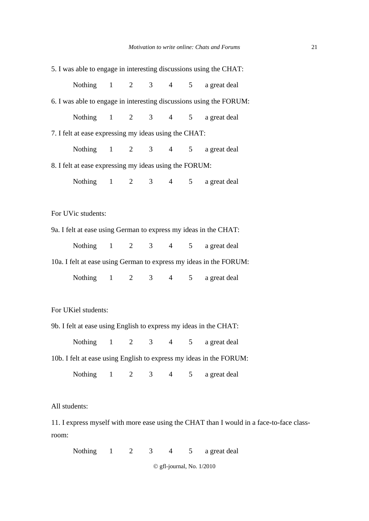|               |                                                        |  |  |  |  |  | 5. I was able to engage in interesting discussions using the CHAT:                       |  |  |  |
|---------------|--------------------------------------------------------|--|--|--|--|--|------------------------------------------------------------------------------------------|--|--|--|
|               |                                                        |  |  |  |  |  | Nothing 1 2 3 4 5 a great deal                                                           |  |  |  |
|               |                                                        |  |  |  |  |  | 6. I was able to engage in interesting discussions using the FORUM:                      |  |  |  |
|               |                                                        |  |  |  |  |  | Nothing 1 2 3 4 5 a great deal                                                           |  |  |  |
|               | 7. I felt at ease expressing my ideas using the CHAT:  |  |  |  |  |  |                                                                                          |  |  |  |
|               |                                                        |  |  |  |  |  | Nothing 1 2 3 4 5 a great deal                                                           |  |  |  |
|               | 8. I felt at ease expressing my ideas using the FORUM: |  |  |  |  |  |                                                                                          |  |  |  |
|               |                                                        |  |  |  |  |  | Nothing 1 2 3 4 5 a great deal                                                           |  |  |  |
|               |                                                        |  |  |  |  |  |                                                                                          |  |  |  |
|               | For UVic students:                                     |  |  |  |  |  |                                                                                          |  |  |  |
|               |                                                        |  |  |  |  |  | 9a. I felt at ease using German to express my ideas in the CHAT:                         |  |  |  |
|               |                                                        |  |  |  |  |  | Nothing 1 2 3 4 5 a great deal                                                           |  |  |  |
|               |                                                        |  |  |  |  |  | 10a. I felt at ease using German to express my ideas in the FORUM:                       |  |  |  |
|               |                                                        |  |  |  |  |  | Nothing 1 2 3 4 5 a great deal                                                           |  |  |  |
|               |                                                        |  |  |  |  |  |                                                                                          |  |  |  |
|               | For UKiel students:                                    |  |  |  |  |  |                                                                                          |  |  |  |
|               |                                                        |  |  |  |  |  | 9b. I felt at ease using English to express my ideas in the CHAT:                        |  |  |  |
|               |                                                        |  |  |  |  |  | Nothing 1 2 3 4 5 a great deal                                                           |  |  |  |
|               |                                                        |  |  |  |  |  | 10b. I felt at ease using English to express my ideas in the FORUM:                      |  |  |  |
|               |                                                        |  |  |  |  |  | Nothing 1 2 3 4 5 a great deal                                                           |  |  |  |
|               |                                                        |  |  |  |  |  |                                                                                          |  |  |  |
| All students: |                                                        |  |  |  |  |  |                                                                                          |  |  |  |
|               |                                                        |  |  |  |  |  | 11. I express myself with more ease using the CHAT than I would in a face-to-face class- |  |  |  |
| room:         |                                                        |  |  |  |  |  |                                                                                          |  |  |  |
|               | Nothing 1 2 3 4 5                                      |  |  |  |  |  | a great deal                                                                             |  |  |  |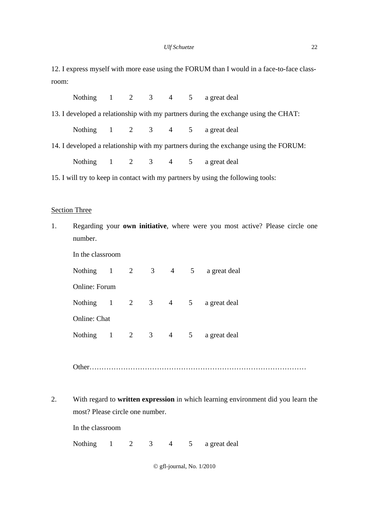12. I express myself with more ease using the FORUM than I would in a face-to-face classroom:

|                                                                                  |                                                                                      |  |  |  |  | Nothing 1 2 3 4 5 a great deal                                                      |  |  |  |
|----------------------------------------------------------------------------------|--------------------------------------------------------------------------------------|--|--|--|--|-------------------------------------------------------------------------------------|--|--|--|
|                                                                                  |                                                                                      |  |  |  |  | 13. I developed a relationship with my partners during the exchange using the CHAT: |  |  |  |
|                                                                                  |                                                                                      |  |  |  |  | Nothing 1 2 3 4 5 a great deal                                                      |  |  |  |
|                                                                                  | 14. I developed a relationship with my partners during the exchange using the FORUM: |  |  |  |  |                                                                                     |  |  |  |
|                                                                                  |                                                                                      |  |  |  |  | Nothing 1 2 3 4 5 a great deal                                                      |  |  |  |
| 15. I will try to keep in contact with my partners by using the following tools: |                                                                                      |  |  |  |  |                                                                                     |  |  |  |

## Section Three

1. Regarding your **own initiative**, where were you most active? Please circle one number.

| In the classroom           |  |             |   |                |                |              |  |  |  |
|----------------------------|--|-------------|---|----------------|----------------|--------------|--|--|--|
| Nothing 1 2 3 4 5          |  |             |   |                |                | a great deal |  |  |  |
| Online: Forum              |  |             |   |                |                |              |  |  |  |
| Nothing $1 \t 2 \t 3 \t 4$ |  |             |   |                | 5 <sup>5</sup> | a great deal |  |  |  |
| Online: Chat               |  |             |   |                |                |              |  |  |  |
| Nothing                    |  | $1 \quad 2$ | 3 | $\overline{4}$ | 5 <sup>5</sup> | a great deal |  |  |  |

Other………………………………………………………………………………

2. With regard to **written expression** in which learning environment did you learn the most? Please circle one number.

In the classroom

Nothing 1 2 3 4 5 a great deal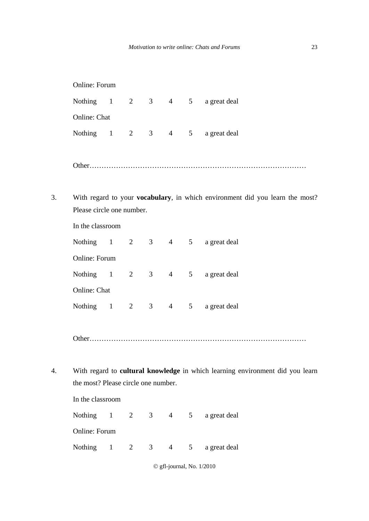|    | Online: Forum                       |              |   |                |                 |                |                                                                               |
|----|-------------------------------------|--------------|---|----------------|-----------------|----------------|-------------------------------------------------------------------------------|
|    |                                     |              |   |                |                 |                | Nothing 1 2 3 4 5 a great deal                                                |
|    | Online: Chat                        |              |   |                |                 |                |                                                                               |
|    | Nothing 1 2 3 4                     |              |   |                |                 |                | 5 a great deal                                                                |
|    |                                     |              |   |                |                 |                |                                                                               |
| 3. | Please circle one number.           |              |   |                |                 |                | With regard to your vocabulary, in which environment did you learn the most?  |
|    | In the classroom                    |              |   |                |                 |                |                                                                               |
|    |                                     |              |   |                |                 |                | Nothing 1 2 3 4 5 a great deal                                                |
|    | Online: Forum                       |              |   |                |                 |                |                                                                               |
|    | Nothing $1 \t 2$                    |              |   | 3 <sup>7</sup> | $4\overline{ }$ |                | 5 a great deal                                                                |
|    | Online: Chat                        |              |   |                |                 |                |                                                                               |
|    | Nothing 1 2 3 4                     |              |   |                |                 |                | 5 a great deal                                                                |
|    | Other                               |              |   |                |                 |                | .                                                                             |
| 4. |                                     |              |   |                |                 |                | With regard to cultural knowledge in which learning environment did you learn |
|    | the most? Please circle one number. |              |   |                |                 |                |                                                                               |
|    | In the classroom                    |              |   |                |                 |                |                                                                               |
|    | Nothing                             | $\mathbf{1}$ | 2 | 3 <sup>7</sup> | 4               | 5 <sup>5</sup> | a great deal                                                                  |

Online: Forum

Nothing 1 2 3 4 5 a great deal